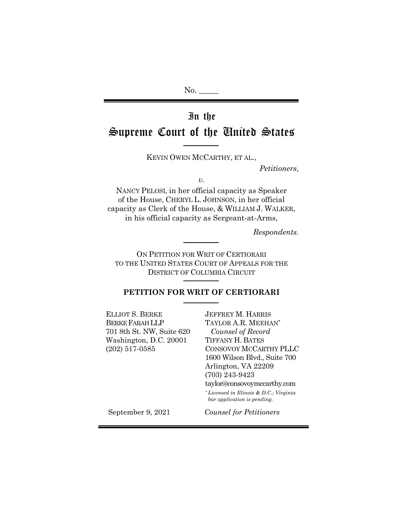# In the Supreme Court of the United States

KEVIN OWEN MCCARTHY, ET AL.,

*Petitioners*,

*v.*

NANCY PELOSI, in her official capacity as Speaker of the House, CHERYL L. JOHNSON, in her official capacity as Clerk of the House, & WILLIAM J. WALKER, in his official capacity as Sergeant-at-Arms,

*Respondents.*

ON PETITION FOR WRIT OF CERTIORARI TO THE UNITED STATES COURT OF APPEALS FOR THE DISTRICT OF COLUMBIA CIRCUIT

## **PETITION FOR WRIT OF CERTIORARI**

ELLIOT S. BERKE BERKE FARAH LLP 701 8th St. NW, Suite 620 Washington, D.C. 20001 (202) 517-0585

JEFFREY M. HARRIS TAYLOR A.R. MEEHAN\*  *Counsel of Record* TIFFANY H. BATES CONSOVOY MCCARTHY PLLC 1600 Wilson Blvd., Suite 700 Arlington, VA 22209 (703) 243-9423 taylor@consovoymccarthy.com

 \* *Licensed in Illinois & D.C.; Virginia bar application is pending.*

September 9, 2021 *Counsel for Petitioners*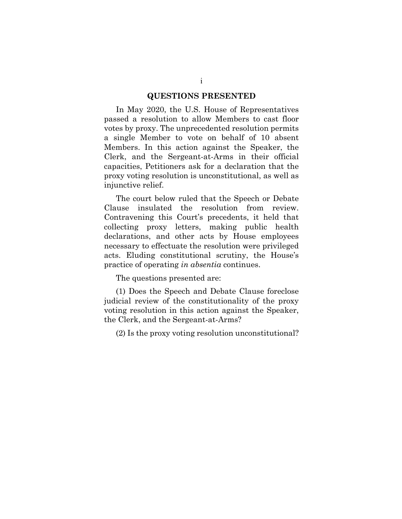#### **QUESTIONS PRESENTED**

In May 2020, the U.S. House of Representatives passed a resolution to allow Members to cast floor votes by proxy. The unprecedented resolution permits a single Member to vote on behalf of 10 absent Members. In this action against the Speaker, the Clerk, and the Sergeant-at-Arms in their official capacities, Petitioners ask for a declaration that the proxy voting resolution is unconstitutional, as well as injunctive relief.

The court below ruled that the Speech or Debate Clause insulated the resolution from review. Contravening this Court's precedents, it held that collecting proxy letters, making public health declarations, and other acts by House employees necessary to effectuate the resolution were privileged acts. Eluding constitutional scrutiny, the House's practice of operating *in absentia* continues.

The questions presented are:

(1) Does the Speech and Debate Clause foreclose judicial review of the constitutionality of the proxy voting resolution in this action against the Speaker, the Clerk, and the Sergeant-at-Arms?

(2) Is the proxy voting resolution unconstitutional?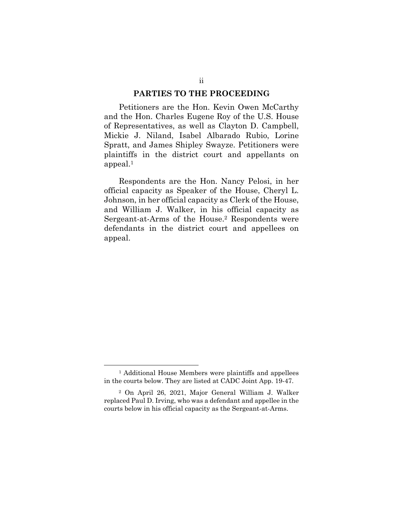#### **PARTIES TO THE PROCEEDING**

Petitioners are the Hon. Kevin Owen McCarthy and the Hon. Charles Eugene Roy of the U.S. House of Representatives, as well as Clayton D. Campbell, Mickie J. Niland, Isabel Albarado Rubio, Lorine Spratt, and James Shipley Swayze. Petitioners were plaintiffs in the district court and appellants on appeal.<sup>1</sup>

Respondents are the Hon. Nancy Pelosi, in her official capacity as Speaker of the House, Cheryl L. Johnson, in her official capacity as Clerk of the House, and William J. Walker, in his official capacity as Sergeant-at-Arms of the House.<sup>2</sup> Respondents were defendants in the district court and appellees on appeal.

<sup>1</sup> Additional House Members were plaintiffs and appellees in the courts below. They are listed at CADC Joint App. 19-47.

<sup>2</sup> On April 26, 2021, Major General William J. Walker replaced Paul D. Irving, who was a defendant and appellee in the courts below in his official capacity as the Sergeant-at-Arms.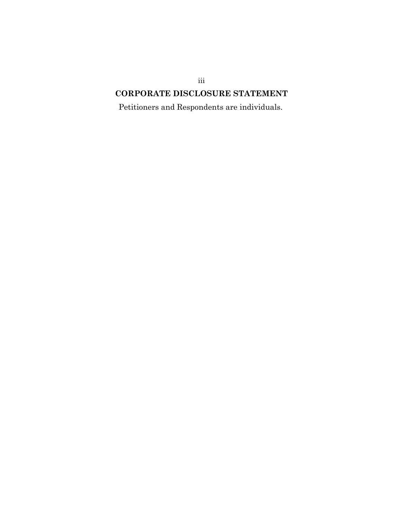## iii **CORPORATE DISCLOSURE STATEMENT**

Petitioners and Respondents are individuals.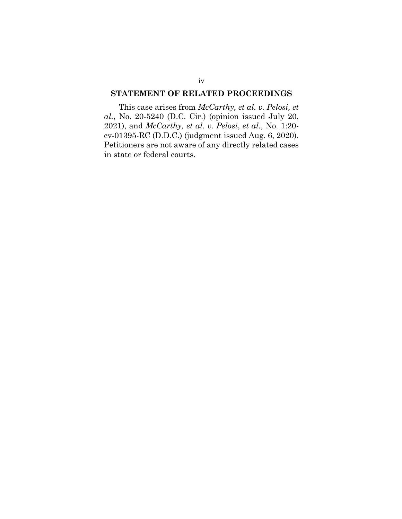## **STATEMENT OF RELATED PROCEEDINGS**

This case arises from *McCarthy, et al. v. Pelosi, et al.*, No. 20-5240 (D.C. Cir.) (opinion issued July 20, 2021), and *McCarthy, et al. v. Pelosi*, *et al.*, No. 1:20 cv-01395-RC (D.D.C.) (judgment issued Aug. 6, 2020). Petitioners are not aware of any directly related cases in state or federal courts.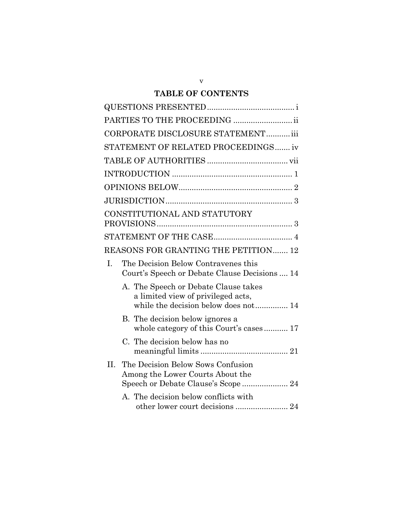## **TABLE OF CONTENTS**

| CORPORATE DISCLOSURE STATEMENT iii                                                                                 |
|--------------------------------------------------------------------------------------------------------------------|
| STATEMENT OF RELATED PROCEEDINGS iv                                                                                |
|                                                                                                                    |
|                                                                                                                    |
|                                                                                                                    |
|                                                                                                                    |
| CONSTITUTIONAL AND STATUTORY                                                                                       |
|                                                                                                                    |
| REASONS FOR GRANTING THE PETITION 12                                                                               |
| I.<br>The Decision Below Contravenes this<br>Court's Speech or Debate Clause Decisions  14                         |
| A. The Speech or Debate Clause takes<br>a limited view of privileged acts,<br>while the decision below does not 14 |
| B. The decision below ignores a<br>whole category of this Court's cases 17                                         |
| C. The decision below has no                                                                                       |
| II.<br>The Decision Below Sows Confusion<br>Among the Lower Courts About the                                       |
| A. The decision below conflicts with<br>other lower court decisions  24                                            |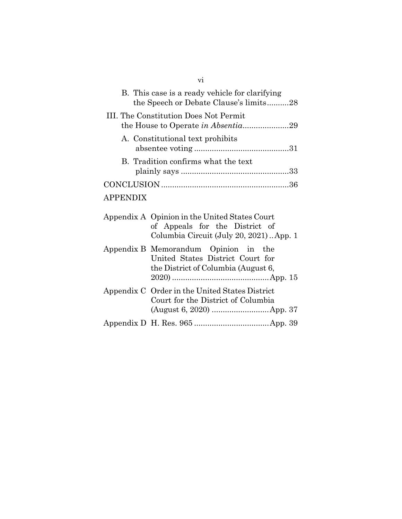|                 | B. This case is a ready vehicle for clarifying<br>the Speech or Debate Clause's limits28                                    |
|-----------------|-----------------------------------------------------------------------------------------------------------------------------|
|                 | III. The Constitution Does Not Permit                                                                                       |
|                 | A. Constitutional text prohibits                                                                                            |
|                 | B. Tradition confirms what the text                                                                                         |
|                 |                                                                                                                             |
| <b>APPENDIX</b> |                                                                                                                             |
|                 | Appendix A Opinion in the United States Court<br>of Appeals for the District of<br>Columbia Circuit (July 20, 2021). App. 1 |
|                 | Appendix B Memorandum Opinion in the<br>United States District Court for<br>the District of Columbia (August 6,             |
|                 | Appendix C Order in the United States District<br>Court for the District of Columbia                                        |
|                 |                                                                                                                             |

vi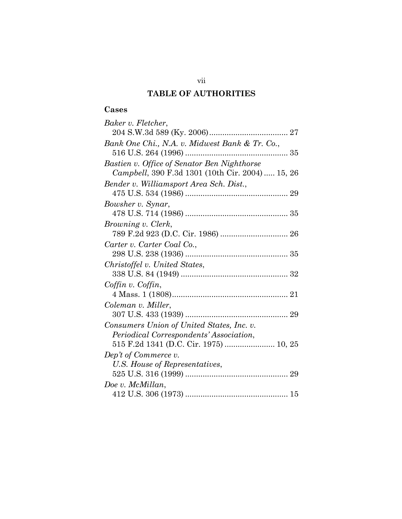## **TABLE OF AUTHORITIES**

## **Cases**

| Baker v. Fletcher,                              |
|-------------------------------------------------|
|                                                 |
| Bank One Chi., N.A. v. Midwest Bank & Tr. Co.,  |
|                                                 |
| Bastien v. Office of Senator Ben Nighthorse     |
| Campbell, 390 F.3d 1301 (10th Cir. 2004) 15, 26 |
| Bender v. Williamsport Area Sch. Dist.,         |
|                                                 |
| Bowsher v. Synar,                               |
|                                                 |
| <i>Browning v. Clerk,</i>                       |
|                                                 |
| Carter v. Carter Coal Co.,                      |
|                                                 |
| Christoffel v. United States,                   |
|                                                 |
| Coffin v. Coffin,                               |
|                                                 |
| Coleman v. Miller,                              |
|                                                 |
|                                                 |
| Consumers Union of United States, Inc. v.       |
| Periodical Correspondents' Association,         |
| 515 F.2d 1341 (D.C. Cir. 1975)  10, 25          |
| Dep't of Commerce v.                            |
| U.S. House of Representatives,                  |
|                                                 |
| Doe v. McMillan,                                |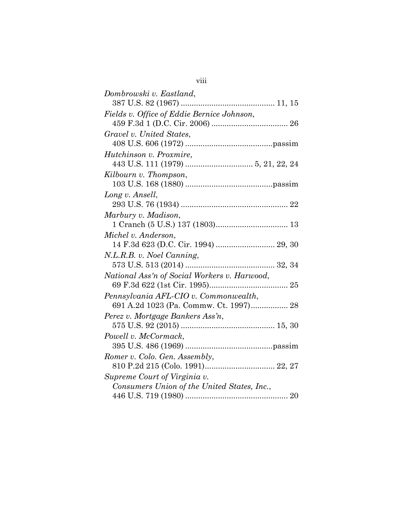| Dombrowski v. Eastland,                      |
|----------------------------------------------|
|                                              |
| Fields v. Office of Eddie Bernice Johnson,   |
|                                              |
| Gravel v. United States,                     |
|                                              |
| Hutchinson v. Proxmire,                      |
|                                              |
| Kilbourn v. Thompson,                        |
|                                              |
| Long v. Ansell,                              |
|                                              |
| Marbury v. Madison,                          |
|                                              |
| Michel v. Anderson,                          |
|                                              |
| N.L.R.B. v. Noel Canning,                    |
|                                              |
| National Ass'n of Social Workers v. Harwood, |
|                                              |
| Pennsylvania AFL-CIO v. Commonwealth,        |
| 691 A.2d 1023 (Pa. Commw. Ct. 1997) 28       |
| Perez v. Mortgage Bankers Ass'n,             |
|                                              |
| Powell v. McCormack,                         |
|                                              |
| Romer v. Colo. Gen. Assembly,                |
|                                              |
| Supreme Court of Virginia v.                 |
| Consumers Union of the United States, Inc.,  |
|                                              |

viii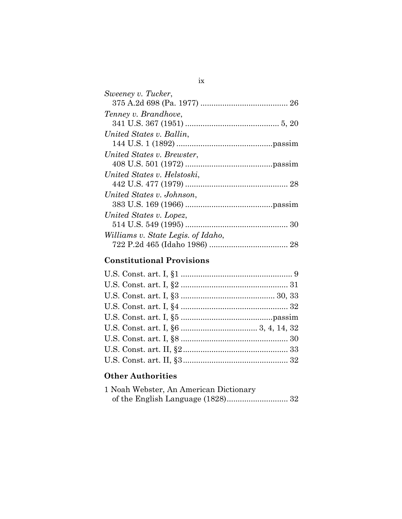## **Constitutional Provisions**

## **Other Authorities**

| 1 Noah Webster, An American Dictionary |  |
|----------------------------------------|--|
|                                        |  |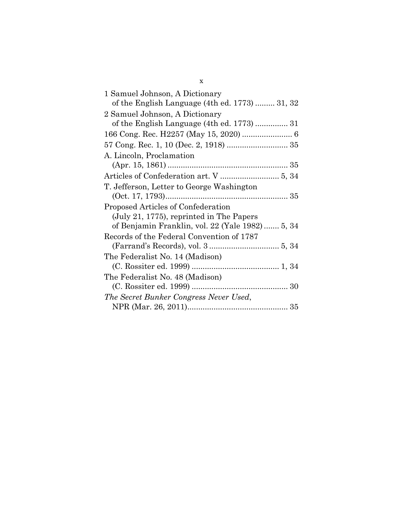| 1 Samuel Johnson, A Dictionary                  |
|-------------------------------------------------|
| of the English Language (4th ed. 1773)  31, 32  |
| 2 Samuel Johnson, A Dictionary                  |
| of the English Language (4th ed. 1773)  31      |
|                                                 |
|                                                 |
| A. Lincoln, Proclamation                        |
|                                                 |
|                                                 |
| T. Jefferson, Letter to George Washington       |
|                                                 |
| Proposed Articles of Confederation              |
| (July 21, 1775), reprinted in The Papers        |
| of Benjamin Franklin, vol. 22 (Yale 1982) 5, 34 |
| Records of the Federal Convention of 1787       |
|                                                 |
|                                                 |
| The Federalist No. 14 (Madison)                 |
|                                                 |
| The Federalist No. 48 (Madison)                 |
|                                                 |
| The Secret Bunker Congress Never Used,          |

x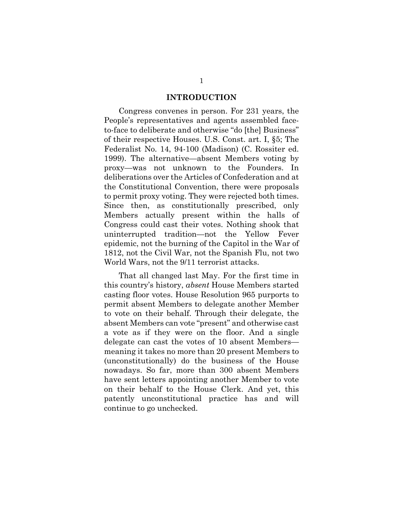#### **INTRODUCTION**

Congress convenes in person. For 231 years, the People's representatives and agents assembled faceto-face to deliberate and otherwise "do [the] Business" of their respective Houses. U.S. Const. art. I, §5; The Federalist No. 14, 94-100 (Madison) (C. Rossiter ed. 1999). The alternative—absent Members voting by proxy—was not unknown to the Founders. In deliberations over the Articles of Confederation and at the Constitutional Convention, there were proposals to permit proxy voting. They were rejected both times. Since then, as constitutionally prescribed, only Members actually present within the halls of Congress could cast their votes. Nothing shook that uninterrupted tradition—not the Yellow Fever epidemic, not the burning of the Capitol in the War of 1812, not the Civil War, not the Spanish Flu, not two World Wars, not the 9/11 terrorist attacks.

That all changed last May. For the first time in this country's history, *absent* House Members started casting floor votes. House Resolution 965 purports to permit absent Members to delegate another Member to vote on their behalf. Through their delegate, the absent Members can vote "present" and otherwise cast a vote as if they were on the floor. And a single delegate can cast the votes of 10 absent Members meaning it takes no more than 20 present Members to (unconstitutionally) do the business of the House nowadays. So far, more than 300 absent Members have sent letters appointing another Member to vote on their behalf to the House Clerk. And yet, this patently unconstitutional practice has and will continue to go unchecked.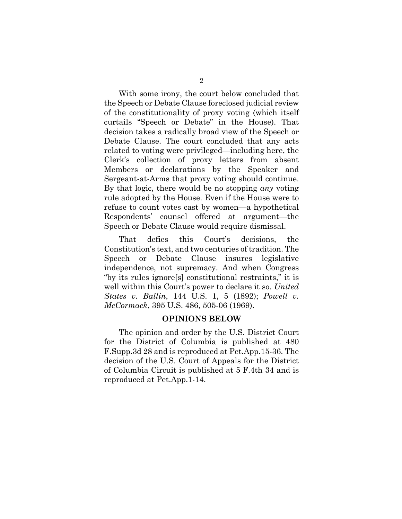With some irony, the court below concluded that the Speech or Debate Clause foreclosed judicial review of the constitutionality of proxy voting (which itself curtails "Speech or Debate" in the House). That decision takes a radically broad view of the Speech or Debate Clause. The court concluded that any acts related to voting were privileged—including here, the Clerk's collection of proxy letters from absent Members or declarations by the Speaker and Sergeant-at-Arms that proxy voting should continue. By that logic, there would be no stopping *any* voting rule adopted by the House. Even if the House were to refuse to count votes cast by women—a hypothetical Respondents' counsel offered at argument—the Speech or Debate Clause would require dismissal.

That defies this Court's decisions, the Constitution's text, and two centuries of tradition. The Speech or Debate Clause insures legislative independence, not supremacy. And when Congress "by its rules ignore[s] constitutional restraints," it is well within this Court's power to declare it so. *United States v. Ballin*, 144 U.S. 1, 5 (1892); *Powell v. McCormack*, 395 U.S. 486, 505-06 (1969).

#### **OPINIONS BELOW**

The opinion and order by the U.S. District Court for the District of Columbia is published at 480 F.Supp.3d 28 and is reproduced at Pet.App.15-36. The decision of the U.S. Court of Appeals for the District of Columbia Circuit is published at 5 F.4th 34 and is reproduced at Pet.App.1-14.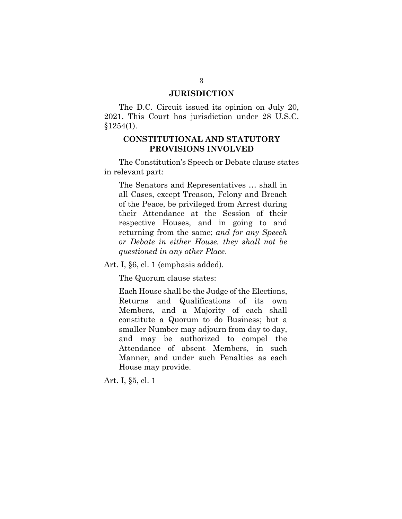### **JURISDICTION**

The D.C. Circuit issued its opinion on July 20, 2021. This Court has jurisdiction under 28 U.S.C.  $§1254(1).$ 

## **CONSTITUTIONAL AND STATUTORY PROVISIONS INVOLVED**

The Constitution's Speech or Debate clause states in relevant part:

The Senators and Representatives … shall in all Cases, except Treason, Felony and Breach of the Peace, be privileged from Arrest during their Attendance at the Session of their respective Houses, and in going to and returning from the same; *and for any Speech or Debate in either House, they shall not be questioned in any other Place*.

Art. I, §6, cl. 1 (emphasis added).

The Quorum clause states:

Each House shall be the Judge of the Elections, Returns and Qualifications of its own Members, and a Majority of each shall constitute a Quorum to do Business; but a smaller Number may adjourn from day to day, and may be authorized to compel the Attendance of absent Members, in such Manner, and under such Penalties as each House may provide.

Art. I, §5, cl. 1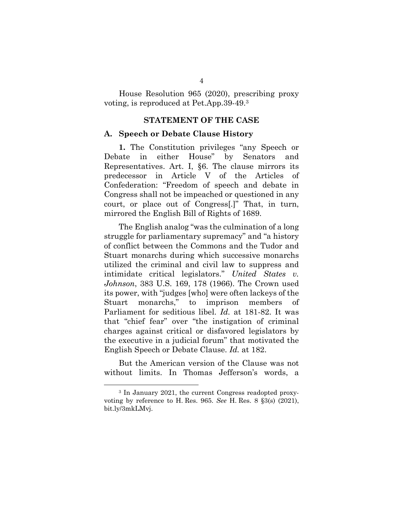House Resolution 965 (2020), prescribing proxy voting, is reproduced at Pet.App.39-49.<sup>3</sup>

### **STATEMENT OF THE CASE**

#### **A. Speech or Debate Clause History**

**1.** The Constitution privileges "any Speech or Debate in either House" by Senators and Representatives. Art. I, §6. The clause mirrors its predecessor in Article V of the Articles of Confederation: "Freedom of speech and debate in Congress shall not be impeached or questioned in any court, or place out of Congress[.]" That, in turn, mirrored the English Bill of Rights of 1689.

The English analog "was the culmination of a long struggle for parliamentary supremacy" and "a history of conflict between the Commons and the Tudor and Stuart monarchs during which successive monarchs utilized the criminal and civil law to suppress and intimidate critical legislators." *United States v. Johnson*, 383 U.S. 169, 178 (1966). The Crown used its power, with "judges [who] were often lackeys of the Stuart monarchs," to imprison members Parliament for seditious libel. *Id.* at 181-82. It was that "chief fear" over "the instigation of criminal charges against critical or disfavored legislators by the executive in a judicial forum" that motivated the English Speech or Debate Clause. *Id.* at 182.

But the American version of the Clause was not without limits. In Thomas Jefferson's words, a

<sup>3</sup> In January 2021, the current Congress readopted proxyvoting by reference to H. Res. 965. *See* H. Res. 8 §3(s) (2021), bit.ly/3mkLMvj.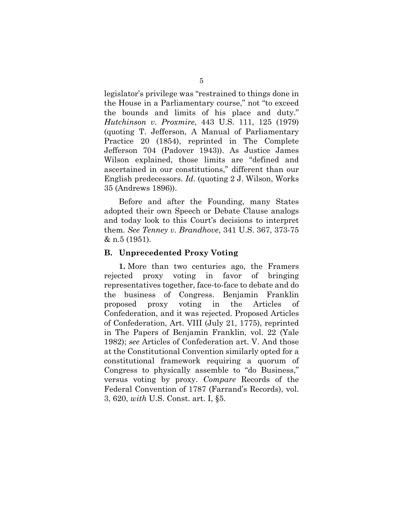legislator's privilege was "restrained to things done in the House in a Parliamentary course," not "to exceed the bounds and limits of his place and duty." *Hutchinson v. Proxmire*, 443 U.S. 111, 125 (1979) (quoting T. Jefferson, A Manual of Parliamentary Practice 20 (1854), reprinted in The Complete Jefferson 704 (Padover 1943)). As Justice James Wilson explained, those limits are "defined and ascertained in our constitutions," different than our English predecessors. *Id*. (quoting 2 J. Wilson, Works 35 (Andrews 1896)).

Before and after the Founding, many States adopted their own Speech or Debate Clause analogs and today look to this Court's decisions to interpret them. *See Tenney v. Brandhove*, 341 U.S. 367, 373-75 & n.5 (1951).

#### **B. Unprecedented Proxy Voting**

**1.** More than two centuries ago, the Framers rejected proxy voting in favor of bringing representatives together, face-to-face to debate and do the business of Congress. Benjamin Franklin proposed proxy voting in the Articles of Confederation, and it was rejected. Proposed Articles of Confederation, Art. VIII (July 21, 1775), reprinted in The Papers of Benjamin Franklin, vol. 22 (Yale 1982); *see* Articles of Confederation art. V. And those at the Constitutional Convention similarly opted for a constitutional framework requiring a quorum of Congress to physically assemble to "do Business," versus voting by proxy. *Compare* Records of the Federal Convention of 1787 (Farrand's Records), vol. 3, 620, *with* U.S. Const. art. I, §5.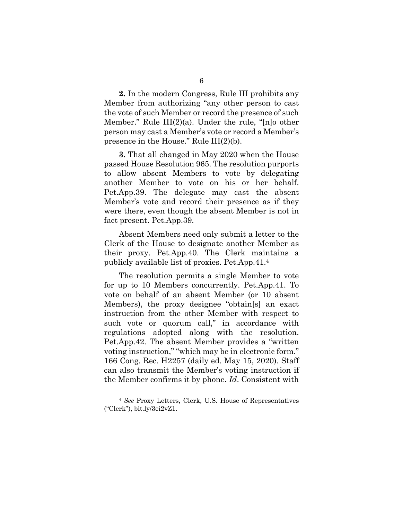**2.** In the modern Congress, Rule III prohibits any Member from authorizing "any other person to cast the vote of such Member or record the presence of such Member." Rule  $III(2)(a)$ . Under the rule, "[n]o other person may cast a Member's vote or record a Member's presence in the House." Rule III(2)(b).

**3.** That all changed in May 2020 when the House passed House Resolution 965. The resolution purports to allow absent Members to vote by delegating another Member to vote on his or her behalf. Pet.App.39. The delegate may cast the absent Member's vote and record their presence as if they were there, even though the absent Member is not in fact present. Pet.App.39.

Absent Members need only submit a letter to the Clerk of the House to designate another Member as their proxy. Pet.App.40. The Clerk maintains a publicly available list of proxies. Pet.App.41.<sup>4</sup>

The resolution permits a single Member to vote for up to 10 Members concurrently. Pet.App.41. To vote on behalf of an absent Member (or 10 absent Members), the proxy designee "obtain[s] an exact instruction from the other Member with respect to such vote or quorum call," in accordance with regulations adopted along with the resolution. Pet.App.42. The absent Member provides a "written voting instruction," "which may be in electronic form." 166 Cong. Rec. H2257 (daily ed. May 15, 2020). Staff can also transmit the Member's voting instruction if the Member confirms it by phone. *Id*. Consistent with

<sup>4</sup> *See* Proxy Letters, Clerk, U.S. House of Representatives ("Clerk"), bit.ly/3ei2vZ1.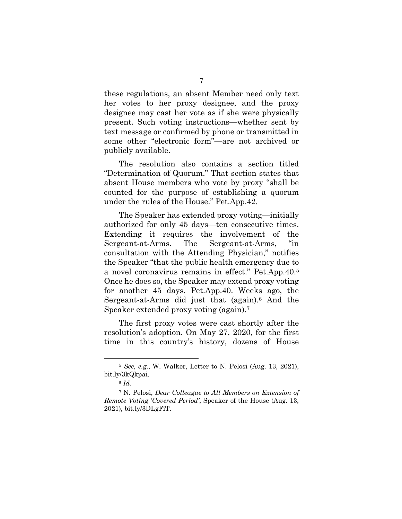these regulations, an absent Member need only text her votes to her proxy designee, and the proxy designee may cast her vote as if she were physically present. Such voting instructions—whether sent by text message or confirmed by phone or transmitted in some other "electronic form"—are not archived or publicly available.

The resolution also contains a section titled "Determination of Quorum." That section states that absent House members who vote by proxy "shall be counted for the purpose of establishing a quorum under the rules of the House." Pet.App.42.

The Speaker has extended proxy voting—initially authorized for only 45 days—ten consecutive times. Extending it requires the involvement of the Sergeant-at-Arms. The Sergeant-at-Arms, "in consultation with the Attending Physician," notifies the Speaker "that the public health emergency due to a novel coronavirus remains in effect." Pet.App.40.<sup>5</sup> Once he does so, the Speaker may extend proxy voting for another 45 days. Pet.App.40. Weeks ago, the Sergeant-at-Arms did just that (again).<sup>6</sup> And the Speaker extended proxy voting (again).<sup>7</sup>

The first proxy votes were cast shortly after the resolution's adoption. On May 27, 2020, for the first time in this country's history, dozens of House

<sup>5</sup> *See, e.g.*, W. Walker, Letter to N. Pelosi (Aug. 13, 2021), bit.ly/3kQkpai.

<sup>6</sup> *Id.*

<sup>7</sup> N. Pelosi, *Dear Colleague to All Members on Extension of Remote Voting 'Covered Period'*, Speaker of the House (Aug. 13, 2021), bit.ly/3DLgFiT.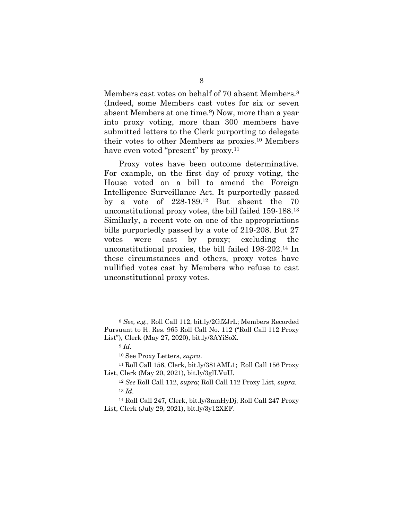Members cast votes on behalf of 70 absent Members.<sup>8</sup> (Indeed, some Members cast votes for six or seven absent Members at one time.9) Now, more than a year into proxy voting, more than 300 members have submitted letters to the Clerk purporting to delegate their votes to other Members as proxies.10 Members have even voted "present" by proxy.<sup>11</sup>

Proxy votes have been outcome determinative. For example, on the first day of proxy voting, the House voted on a bill to amend the Foreign Intelligence Surveillance Act. It purportedly passed by a vote of 228-189.<sup>12</sup> But absent the 70 unconstitutional proxy votes, the bill failed 159-188.<sup>13</sup> Similarly, a recent vote on one of the appropriations bills purportedly passed by a vote of 219-208. But 27 votes were cast by proxy; excluding the unconstitutional proxies, the bill failed 198-202.<sup>14</sup> In these circumstances and others, proxy votes have nullified votes cast by Members who refuse to cast unconstitutional proxy votes.

<sup>8</sup> *See, e.g.*, Roll Call 112, bit.ly/2GfZJrL; Members Recorded Pursuant to H. Res. 965 Roll Call No. 112 ("Roll Call 112 Proxy List"), Clerk (May 27, 2020), bit.ly/3AYiSoX.

<sup>9</sup> *Id.*

<sup>10</sup> See Proxy Letters, *supra*.

<sup>11</sup> Roll Call 156, Clerk, bit.ly/381AML1; Roll Call 156 Proxy List, Clerk (May 20, 2021), bit.ly/3glLVuU.

<sup>12</sup> *See* Roll Call 112, *supra*; Roll Call 112 Proxy List, *supra.*  <sup>13</sup> *Id*.

<sup>14</sup> Roll Call 247, Clerk, bit.ly/3mnHyDj; Roll Call 247 Proxy List, Clerk (July 29, 2021), bit.ly/3y12XEF.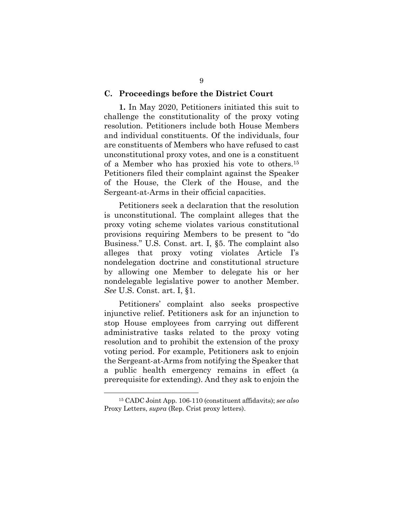#### **C. Proceedings before the District Court**

**1.** In May 2020, Petitioners initiated this suit to challenge the constitutionality of the proxy voting resolution. Petitioners include both House Members and individual constituents. Of the individuals, four are constituents of Members who have refused to cast unconstitutional proxy votes, and one is a constituent of a Member who has proxied his vote to others.<sup>15</sup> Petitioners filed their complaint against the Speaker of the House, the Clerk of the House, and the Sergeant-at-Arms in their official capacities.

Petitioners seek a declaration that the resolution is unconstitutional. The complaint alleges that the proxy voting scheme violates various constitutional provisions requiring Members to be present to "do Business." U.S. Const. art. I, §5. The complaint also alleges that proxy voting violates Article I's nondelegation doctrine and constitutional structure by allowing one Member to delegate his or her nondelegable legislative power to another Member. *See* U.S. Const. art. I, §1.

Petitioners' complaint also seeks prospective injunctive relief. Petitioners ask for an injunction to stop House employees from carrying out different administrative tasks related to the proxy voting resolution and to prohibit the extension of the proxy voting period. For example, Petitioners ask to enjoin the Sergeant-at-Arms from notifying the Speaker that a public health emergency remains in effect (a prerequisite for extending). And they ask to enjoin the

<sup>15</sup> CADC Joint App. 106-110 (constituent affidavits); *see also*  Proxy Letters, *supra* (Rep. Crist proxy letters).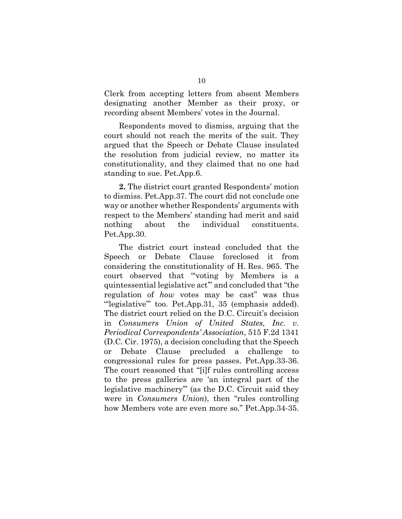Clerk from accepting letters from absent Members designating another Member as their proxy, or recording absent Members' votes in the Journal.

Respondents moved to dismiss, arguing that the court should not reach the merits of the suit. They argued that the Speech or Debate Clause insulated the resolution from judicial review, no matter its constitutionality, and they claimed that no one had standing to sue. Pet.App.6.

**2.** The district court granted Respondents' motion to dismiss. Pet.App.37. The court did not conclude one way or another whether Respondents' arguments with respect to the Members' standing had merit and said nothing about the individual constituents. Pet.App.30.

The district court instead concluded that the Speech or Debate Clause foreclosed it from considering the constitutionality of H. Res. 965. The court observed that "'voting by Members is a quintessential legislative act'" and concluded that "the regulation of *how* votes may be cast" was thus "legislative" too. Pet.App.31, 35 (emphasis added). The district court relied on the D.C. Circuit's decision in *Consumers Union of United States, Inc. v. Periodical Correspondents' Association*, 515 F.2d 1341 (D.C. Cir. 1975), a decision concluding that the Speech or Debate Clause precluded a challenge to congressional rules for press passes. Pet.App.33-36. The court reasoned that "[i]f rules controlling access to the press galleries are 'an integral part of the legislative machinery'" (as the D.C. Circuit said they were in *Consumers Union*), then "rules controlling how Members vote are even more so." Pet.App.34-35.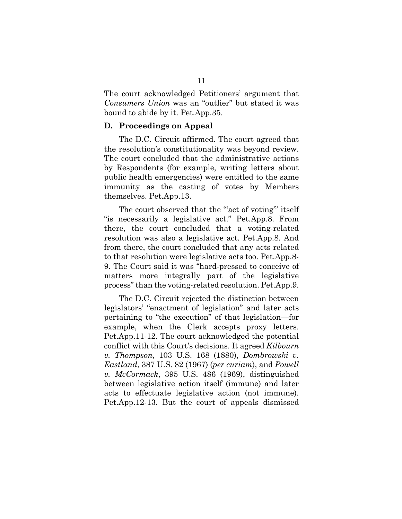The court acknowledged Petitioners' argument that *Consumers Union* was an "outlier" but stated it was bound to abide by it. Pet.App.35.

## **D. Proceedings on Appeal**

The D.C. Circuit affirmed. The court agreed that the resolution's constitutionality was beyond review. The court concluded that the administrative actions by Respondents (for example, writing letters about public health emergencies) were entitled to the same immunity as the casting of votes by Members themselves. Pet.App.13.

The court observed that the "act of voting" itself "is necessarily a legislative act." Pet.App.8. From there, the court concluded that a voting-related resolution was also a legislative act. Pet.App.8. And from there, the court concluded that any acts related to that resolution were legislative acts too. Pet.App.8- 9. The Court said it was "hard-pressed to conceive of matters more integrally part of the legislative process" than the voting-related resolution. Pet.App.9.

The D.C. Circuit rejected the distinction between legislators' "enactment of legislation" and later acts pertaining to "the execution" of that legislation—for example, when the Clerk accepts proxy letters. Pet.App.11-12. The court acknowledged the potential conflict with this Court's decisions. It agreed *Kilbourn v. Thompson*, 103 U.S. 168 (1880), *Dombrowski v. Eastland*, 387 U.S. 82 (1967) (*per curiam*), and *Powell v. McCormack*, 395 U.S. 486 (1969), distinguished between legislative action itself (immune) and later acts to effectuate legislative action (not immune). Pet.App.12-13. But the court of appeals dismissed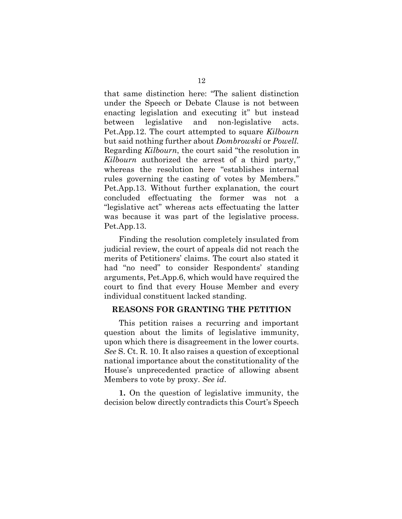that same distinction here: "The salient distinction under the Speech or Debate Clause is not between enacting legislation and executing it" but instead between legislative and non-legislative acts. Pet.App.12. The court attempted to square *Kilbourn*  but said nothing further about *Dombrowski* or *Powell.*  Regarding *Kilbourn*, the court said "the resolution in *Kilbourn* authorized the arrest of a third party,*"*  whereas the resolution here "establishes internal rules governing the casting of votes by Members." Pet.App.13. Without further explanation, the court concluded effectuating the former was not a "legislative act" whereas acts effectuating the latter was because it was part of the legislative process. Pet.App.13.

Finding the resolution completely insulated from judicial review, the court of appeals did not reach the merits of Petitioners' claims. The court also stated it had "no need" to consider Respondents' standing arguments, Pet.App.6, which would have required the court to find that every House Member and every individual constituent lacked standing.

## **REASONS FOR GRANTING THE PETITION**

This petition raises a recurring and important question about the limits of legislative immunity, upon which there is disagreement in the lower courts. *See* S. Ct. R. 10. It also raises a question of exceptional national importance about the constitutionality of the House's unprecedented practice of allowing absent Members to vote by proxy. *See id*.

**1.** On the question of legislative immunity, the decision below directly contradicts this Court's Speech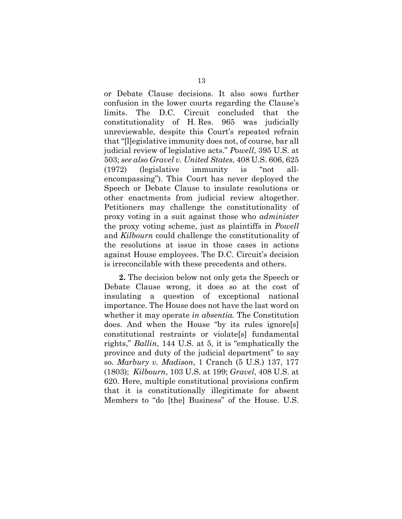or Debate Clause decisions. It also sows further confusion in the lower courts regarding the Clause's limits. The D.C. Circuit concluded that the constitutionality of H. Res. 965 was judicially unreviewable, despite this Court's repeated refrain that "[l]egislative immunity does not, of course, bar all judicial review of legislative acts." *Powell*, 395 U.S. at 503; *see also Gravel v. United States*, 408 U.S. 606, 625 (1972) (legislative immunity is "not allencompassing"). This Court has never deployed the Speech or Debate Clause to insulate resolutions or other enactments from judicial review altogether. Petitioners may challenge the constitutionality of proxy voting in a suit against those who *administer* the proxy voting scheme, just as plaintiffs in *Powell*  and *Kilbourn* could challenge the constitutionality of the resolutions at issue in those cases in actions against House employees. The D.C. Circuit's decision is irreconcilable with these precedents and others.

**2.** The decision below not only gets the Speech or Debate Clause wrong, it does so at the cost of insulating a question of exceptional national importance. The House does not have the last word on whether it may operate *in absentia.* The Constitution does. And when the House "by its rules ignore[s] constitutional restraints or violate[s] fundamental rights," *Ballin*, 144 U.S. at 5, it is "emphatically the province and duty of the judicial department" to say so. *Marbury v. Madison*, 1 Cranch (5 U.S.) 137, 177 (1803); *Kilbourn*, 103 U.S. at 199; *Gravel*, 408 U.S. at 620. Here, multiple constitutional provisions confirm that it is constitutionally illegitimate for absent Members to "do [the] Business" of the House. U.S.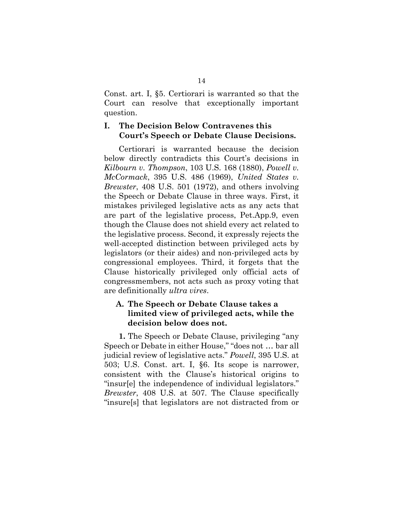Const. art. I, §5. Certiorari is warranted so that the Court can resolve that exceptionally important question.

## **I. The Decision Below Contravenes this Court's Speech or Debate Clause Decisions.**

Certiorari is warranted because the decision below directly contradicts this Court's decisions in *Kilbourn v. Thompson*, 103 U.S. 168 (1880), *Powell v. McCormack*, 395 U.S. 486 (1969), *United States v. Brewster*, 408 U.S. 501 (1972), and others involving the Speech or Debate Clause in three ways. First, it mistakes privileged legislative acts as any acts that are part of the legislative process, Pet.App.9, even though the Clause does not shield every act related to the legislative process. Second, it expressly rejects the well-accepted distinction between privileged acts by legislators (or their aides) and non-privileged acts by congressional employees. Third, it forgets that the Clause historically privileged only official acts of congressmembers, not acts such as proxy voting that are definitionally *ultra vires*.

## **A. The Speech or Debate Clause takes a limited view of privileged acts, while the decision below does not.**

**1.** The Speech or Debate Clause, privileging "any Speech or Debate in either House," "does not … bar all judicial review of legislative acts." *Powell*, 395 U.S. at 503; U.S. Const. art. I, §6. Its scope is narrower, consistent with the Clause's historical origins to "insur[e] the independence of individual legislators." *Brewster*, 408 U.S. at 507. The Clause specifically "insure[s] that legislators are not distracted from or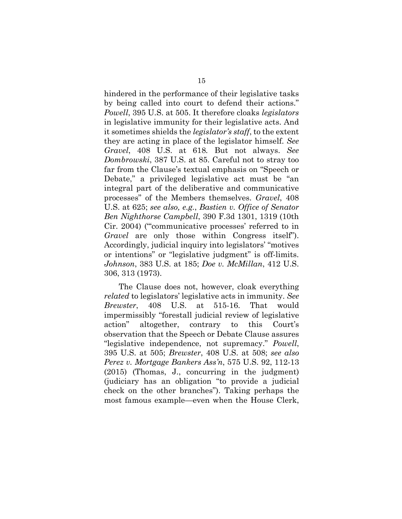hindered in the performance of their legislative tasks by being called into court to defend their actions." *Powell*, 395 U.S. at 505. It therefore cloaks *legislators*  in legislative immunity for their legislative acts. And it sometimes shields the *legislator's staff*, to the extent they are acting in place of the legislator himself. *See Gravel*, 408 U.S. at 618*.* But not always. *See Dombrowski*, 387 U.S. at 85. Careful not to stray too far from the Clause's textual emphasis on "Speech or Debate," a privileged legislative act must be "an integral part of the deliberative and communicative processes" of the Members themselves. *Gravel*, 408 U.S. at 625; *see also, e.g.*, *Bastien v. Office of Senator Ben Nighthorse Campbell*, 390 F.3d 1301, 1319 (10th Cir. 2004) ("'communicative processes' referred to in *Gravel* are only those within Congress itself"). Accordingly, judicial inquiry into legislators' "motives or intentions" or "legislative judgment" is off-limits. *Johnson*, 383 U.S. at 185; *Doe v. McMillan*, 412 U.S. 306, 313 (1973).

The Clause does not, however, cloak everything *related* to legislators' legislative acts in immunity. *See Brewster*, 408 U.S. at 515-16. That would impermissibly "forestall judicial review of legislative action" altogether, contrary to this Court's observation that the Speech or Debate Clause assures "legislative independence, not supremacy." *Powell*, 395 U.S. at 505; *Brewster*, 408 U.S. at 508; *see also Perez v. Mortgage Bankers Ass'n*, 575 U.S. 92, 112-13 (2015) (Thomas, J., concurring in the judgment) (judiciary has an obligation "to provide a judicial check on the other branches"). Taking perhaps the most famous example—even when the House Clerk,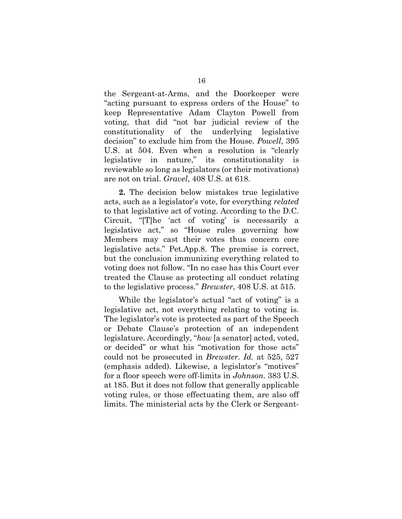the Sergeant-at-Arms, and the Doorkeeper were "acting pursuant to express orders of the House" to keep Representative Adam Clayton Powell from voting, that did "not bar judicial review of the constitutionality of the underlying legislative decision" to exclude him from the House. *Powell*, 395 U.S. at 504. Even when a resolution is "clearly legislative in nature," its constitutionality is reviewable so long as legislators (or their motivations) are not on trial. *Gravel*, 408 U.S. at 618.

**2.** The decision below mistakes true legislative acts, such as a legislator's vote, for everything *related*  to that legislative act of voting. According to the D.C. Circuit, "[T]he 'act of voting' is necessarily a legislative act," so "House rules governing how Members may cast their votes thus concern core legislative acts." Pet.App.8. The premise is correct, but the conclusion immunizing everything related to voting does not follow. "In no case has this Court ever treated the Clause as protecting all conduct relating to the legislative process." *Brewster*, 408 U.S. at 515.

While the legislator's actual "act of voting" is a legislative act, not everything relating to voting is. The legislator's vote is protected as part of the Speech or Debate Clause's protection of an independent legislature. Accordingly, "*how* [a senator] acted, voted, or decided" or what his "motivation for those acts" could not be prosecuted in *Brewster*. *Id.* at 525, 527 (emphasis added). Likewise, a legislator's "motives" for a floor speech were off-limits in *Johnson*. 383 U.S. at 185. But it does not follow that generally applicable voting rules, or those effectuating them, are also off limits. The ministerial acts by the Clerk or Sergeant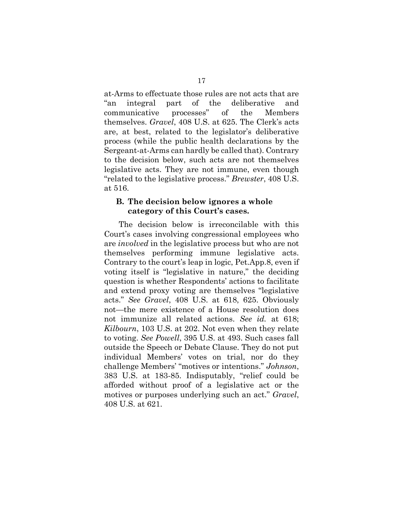at-Arms to effectuate those rules are not acts that are "an integral part of the deliberative and communicative processes" of the Members themselves. *Gravel*, 408 U.S. at 625. The Clerk's acts are, at best, related to the legislator's deliberative process (while the public health declarations by the Sergeant-at-Arms can hardly be called that). Contrary to the decision below, such acts are not themselves legislative acts. They are not immune, even though "related to the legislative process." *Brewster*, 408 U.S. at 516.

## **B. The decision below ignores a whole category of this Court's cases.**

The decision below is irreconcilable with this Court's cases involving congressional employees who are *involved* in the legislative process but who are not themselves performing immune legislative acts. Contrary to the court's leap in logic, Pet.App.8, even if voting itself is "legislative in nature," the deciding question is whether Respondents' actions to facilitate and extend proxy voting are themselves "legislative acts." *See Gravel*, 408 U.S. at 618, 625. Obviously not—the mere existence of a House resolution does not immunize all related actions. *See id.* at 618; *Kilbourn*, 103 U.S. at 202. Not even when they relate to voting. *See Powell*, 395 U.S. at 493. Such cases fall outside the Speech or Debate Clause. They do not put individual Members' votes on trial, nor do they challenge Members' "motives or intentions." *Johnson*, 383 U.S. at 183-85. Indisputably, "relief could be afforded without proof of a legislative act or the motives or purposes underlying such an act." *Gravel*, 408 U.S. at 621.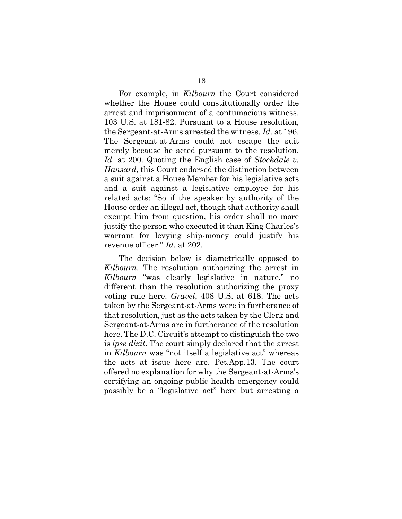For example, in *Kilbourn* the Court considered whether the House could constitutionally order the arrest and imprisonment of a contumacious witness. 103 U.S. at 181-82. Pursuant to a House resolution, the Sergeant-at-Arms arrested the witness. *Id.* at 196. The Sergeant-at-Arms could not escape the suit merely because he acted pursuant to the resolution. *Id.* at 200. Quoting the English case of *Stockdale v. Hansard*, this Court endorsed the distinction between a suit against a House Member for his legislative acts and a suit against a legislative employee for his related acts: "So if the speaker by authority of the House order an illegal act, though that authority shall exempt him from question, his order shall no more justify the person who executed it than King Charles's warrant for levying ship-money could justify his revenue officer." *Id.* at 202.

The decision below is diametrically opposed to *Kilbourn*. The resolution authorizing the arrest in *Kilbourn* "was clearly legislative in nature," no different than the resolution authorizing the proxy voting rule here. *Gravel*, 408 U.S. at 618. The acts taken by the Sergeant-at-Arms were in furtherance of that resolution, just as the acts taken by the Clerk and Sergeant-at-Arms are in furtherance of the resolution here. The D.C. Circuit's attempt to distinguish the two is *ipse dixit*. The court simply declared that the arrest in *Kilbourn* was "not itself a legislative act" whereas the acts at issue here are. Pet.App.13. The court offered no explanation for why the Sergeant-at-Arms's certifying an ongoing public health emergency could possibly be a "legislative act" here but arresting a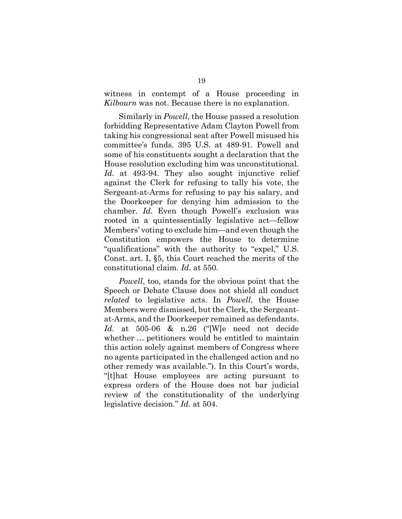witness in contempt of a House proceeding in *Kilbourn* was not. Because there is no explanation.

Similarly in *Powell*, the House passed a resolution forbidding Representative Adam Clayton Powell from taking his congressional seat after Powell misused his committee's funds. 395 U.S. at 489-91. Powell and some of his constituents sought a declaration that the House resolution excluding him was unconstitutional. *Id.* at 493-94. They also sought injunctive relief against the Clerk for refusing to tally his vote, the Sergeant-at-Arms for refusing to pay his salary, and the Doorkeeper for denying him admission to the chamber. *Id.* Even though Powell's exclusion was rooted in a quintessentially legislative act—fellow Members' voting to exclude him—and even though the Constitution empowers the House to determine "qualifications" with the authority to "expel," U.S. Const. art. I, §5, this Court reached the merits of the constitutional claim. *Id.* at 550.

*Powell*, too, stands for the obvious point that the Speech or Debate Clause does not shield all conduct *related* to legislative acts. In *Powell*, the House Members were dismissed, but the Clerk, the Sergeantat-Arms, and the Doorkeeper remained as defendants. *Id.* at 505-06 & n.26 ("[W]e need not decide whether … petitioners would be entitled to maintain this action solely against members of Congress where no agents participated in the challenged action and no other remedy was available."). In this Court's words, "[t]hat House employees are acting pursuant to express orders of the House does not bar judicial review of the constitutionality of the underlying legislative decision." *Id.* at 504.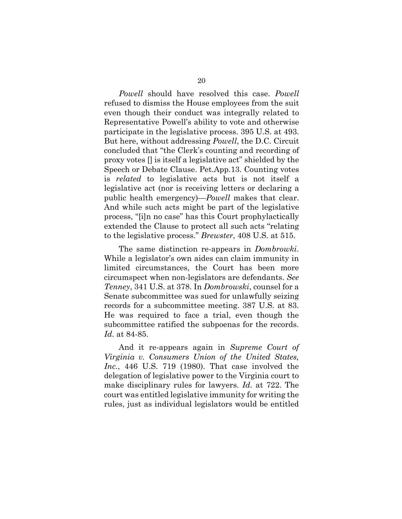*Powell* should have resolved this case. *Powell* refused to dismiss the House employees from the suit even though their conduct was integrally related to Representative Powell's ability to vote and otherwise participate in the legislative process. 395 U.S. at 493. But here, without addressing *Powell*, the D.C. Circuit concluded that "the Clerk's counting and recording of proxy votes [] is itself a legislative act" shielded by the Speech or Debate Clause. Pet.App.13. Counting votes is *related* to legislative acts but is not itself a legislative act (nor is receiving letters or declaring a public health emergency)—*Powell* makes that clear. And while such acts might be part of the legislative process, "[i]n no case" has this Court prophylactically extended the Clause to protect all such acts "relating to the legislative process." *Brewster*, 408 U.S. at 515.

The same distinction re-appears in *Dombrowki*. While a legislator's own aides can claim immunity in limited circumstances, the Court has been more circumspect when non-legislators are defendants. *See Tenney*, 341 U.S. at 378. In *Dombrowski*, counsel for a Senate subcommittee was sued for unlawfully seizing records for a subcommittee meeting. 387 U.S. at 83. He was required to face a trial, even though the subcommittee ratified the subpoenas for the records. *Id.* at 84-85.

And it re-appears again in *Supreme Court of Virginia v. Consumers Union of the United States, Inc.*, 446 U.S. 719 (1980). That case involved the delegation of legislative power to the Virginia court to make disciplinary rules for lawyers. *Id.* at 722. The court was entitled legislative immunity for writing the rules, just as individual legislators would be entitled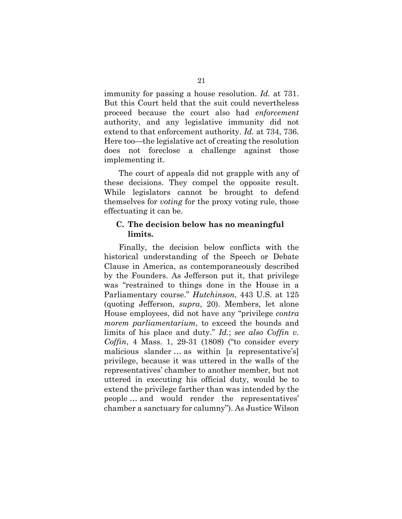immunity for passing a house resolution. *Id.* at 731. But this Court held that the suit could nevertheless proceed because the court also had *enforcement*  authority, and any legislative immunity did not extend to that enforcement authority. *Id.* at 734, 736. Here too—the legislative act of creating the resolution does not foreclose a challenge against those implementing it.

The court of appeals did not grapple with any of these decisions. They compel the opposite result. While legislators cannot be brought to defend themselves for *voting* for the proxy voting rule, those effectuating it can be.

## **C. The decision below has no meaningful limits.**

Finally, the decision below conflicts with the historical understanding of the Speech or Debate Clause in America, as contemporaneously described by the Founders. As Jefferson put it, that privilege was "restrained to things done in the House in a Parliamentary course." *Hutchinson*, 443 U.S. at 125 (quoting Jefferson, *supra*, 20). Members, let alone House employees, did not have any "privilege *contra morem parliamentarium*, to exceed the bounds and limits of his place and duty." *Id.*; *see also Coffin v. Coffin*, 4 Mass. 1, 29-31 (1808) ("to consider every malicious slander … as within [a representative's] privilege, because it was uttered in the walls of the representatives' chamber to another member, but not uttered in executing his official duty, would be to extend the privilege farther than was intended by the people … and would render the representatives' chamber a sanctuary for calumny"). As Justice Wilson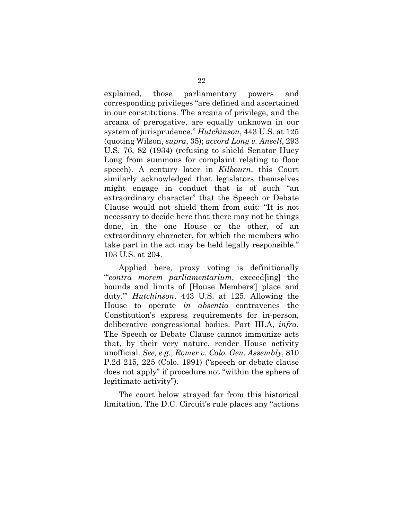explained, those parliamentary powers and corresponding privileges "are defined and ascertained in our constitutions. The arcana of privilege, and the arcana of prerogative, are equally unknown in our system of jurisprudence." *Hutchinson*, 443 U.S. at 125 (quoting Wilson, *supra*, 35); *accord Long v. Ansell*, 293 U.S. 76, 82 (1934) (refusing to shield Senator Huey Long from summons for complaint relating to floor speech). A century later in *Kilbourn*, this Court similarly acknowledged that legislators themselves might engage in conduct that is of such "an extraordinary character" that the Speech or Debate Clause would not shield them from suit: "It is not necessary to decide here that there may not be things done, in the one House or the other, of an extraordinary character, for which the members who take part in the act may be held legally responsible." 103 U*.*S. at 204.

Applied here, proxy voting is definitionally "'*contra morem parliamentarium*, exceed[ing] the bounds and limits of [House Members'] place and duty.'" *Hutchinson*, 443 U.S. at 125. Allowing the House to operate *in absentia* contravenes the Constitution's express requirements for in-person, deliberative congressional bodies. Part III.A, *infra.* The Speech or Debate Clause cannot immunize acts that, by their very nature, render House activity unofficial. *See, e.g.*, *Romer v. Colo. Gen. Assembly*, 810 P.2d 215, 225 (Colo. 1991) ("speech or debate clause does not apply" if procedure not "within the sphere of legitimate activity").

The court below strayed far from this historical limitation. The D.C. Circuit's rule places any "actions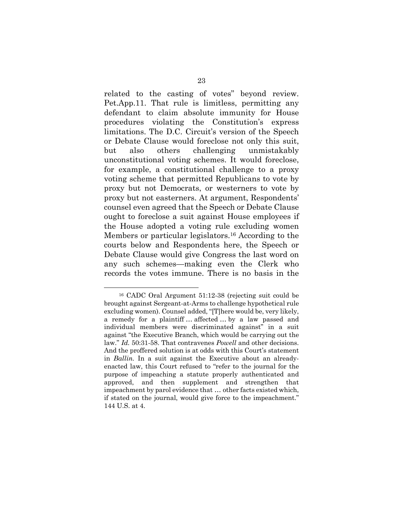related to the casting of votes" beyond review. Pet.App.11. That rule is limitless, permitting any defendant to claim absolute immunity for House procedures violating the Constitution's express limitations. The D.C. Circuit's version of the Speech or Debate Clause would foreclose not only this suit, but also others challenging unmistakably unconstitutional voting schemes. It would foreclose, for example, a constitutional challenge to a proxy voting scheme that permitted Republicans to vote by proxy but not Democrats, or westerners to vote by proxy but not easterners. At argument, Respondents' counsel even agreed that the Speech or Debate Clause ought to foreclose a suit against House employees if the House adopted a voting rule excluding women Members or particular legislators.16 According to the courts below and Respondents here, the Speech or Debate Clause would give Congress the last word on any such schemes—making even the Clerk who records the votes immune. There is no basis in the

<sup>16</sup> CADC Oral Argument 51:12-38 (rejecting suit could be brought against Sergeant-at-Arms to challenge hypothetical rule excluding women). Counsel added, "[T]here would be, very likely, a remedy for a plaintiff … affected … by a law passed and individual members were discriminated against" in a suit against "the Executive Branch, which would be carrying out the law." *Id.* 50:31-58. That contravenes *Powell* and other decisions. And the proffered solution is at odds with this Court's statement in *Ballin.* In a suit against the Executive about an alreadyenacted law, this Court refused to "refer to the journal for the purpose of impeaching a statute properly authenticated and approved, and then supplement and strengthen that impeachment by parol evidence that … other facts existed which, if stated on the journal, would give force to the impeachment." 144 U.S. at 4.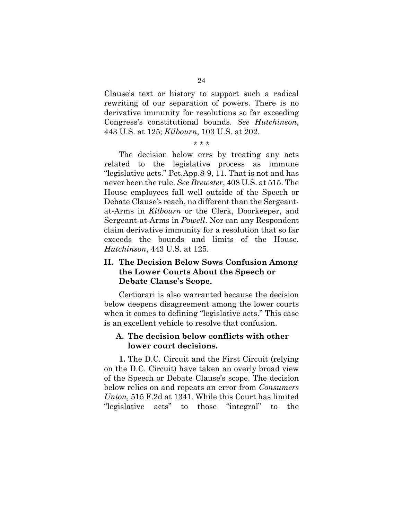Clause's text or history to support such a radical rewriting of our separation of powers. There is no derivative immunity for resolutions so far exceeding Congress's constitutional bounds. *See Hutchinson*, 443 U.S. at 125; *Kilbourn*, 103 U.S. at 202.

#### \* \* \*

The decision below errs by treating any acts related to the legislative process as immune "legislative acts." Pet.App.8-9, 11. That is not and has never been the rule. *See Brewster*, 408 U.S. at 515. The House employees fall well outside of the Speech or Debate Clause's reach, no different than the Sergeantat-Arms in *Kilbourn* or the Clerk, Doorkeeper, and Sergeant-at-Arms in *Powell*. Nor can any Respondent claim derivative immunity for a resolution that so far exceeds the bounds and limits of the House. *Hutchinson*, 443 U.S. at 125.

## **II. The Decision Below Sows Confusion Among the Lower Courts About the Speech or Debate Clause's Scope.**

Certiorari is also warranted because the decision below deepens disagreement among the lower courts when it comes to defining "legislative acts." This case is an excellent vehicle to resolve that confusion.

## **A. The decision below conflicts with other lower court decisions.**

**1.** The D.C. Circuit and the First Circuit (relying on the D.C. Circuit) have taken an overly broad view of the Speech or Debate Clause's scope. The decision below relies on and repeats an error from *Consumers Union*, 515 F.2d at 1341*.* While this Court has limited "legislative acts" to those "integral" to the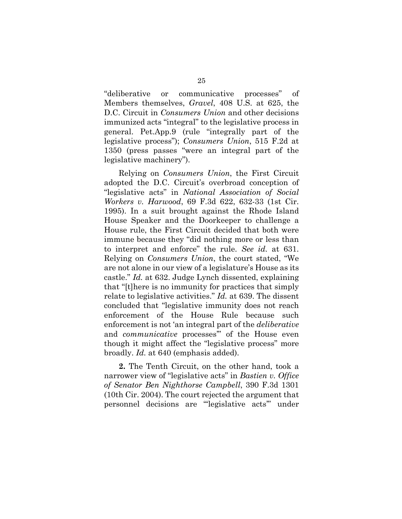"deliberative or communicative processes" of Members themselves, *Gravel*, 408 U.S. at 625, the D.C. Circuit in *Consumers Union* and other decisions immunized acts "integral" to the legislative process in general. Pet.App.9 (rule "integrally part of the legislative process"); *Consumers Union*, 515 F.2d at 1350 (press passes "were an integral part of the legislative machinery").

Relying on *Consumers Union*, the First Circuit adopted the D.C. Circuit's overbroad conception of "legislative acts" in *National Association of Social Workers v. Harwood*, 69 F.3d 622, 632-33 (1st Cir. 1995). In a suit brought against the Rhode Island House Speaker and the Doorkeeper to challenge a House rule, the First Circuit decided that both were immune because they "did nothing more or less than to interpret and enforce" the rule. *See id.* at 631. Relying on *Consumers Union*, the court stated, "We are not alone in our view of a legislature's House as its castle." *Id.* at 632. Judge Lynch dissented, explaining that "[t]here is no immunity for practices that simply relate to legislative activities." *Id.* at 639. The dissent concluded that "legislative immunity does not reach enforcement of the House Rule because such enforcement is not 'an integral part of the *deliberative* and *communicative* processes'" of the House even though it might affect the "legislative process" more broadly. *Id.* at 640 (emphasis added).

**2.** The Tenth Circuit, on the other hand, took a narrower view of "legislative acts" in *Bastien v. Office of Senator Ben Nighthorse Campbell*, 390 F.3d 1301 (10th Cir. 2004). The court rejected the argument that personnel decisions are "'legislative acts'" under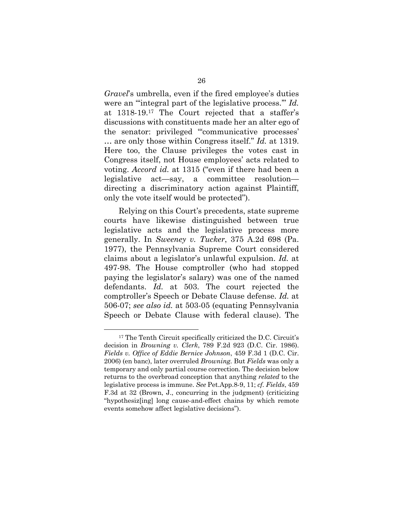*Gravel*'s umbrella, even if the fired employee's duties were an "'integral part of the legislative process.'" *Id.*  at 1318-19.17 The Court rejected that a staffer's discussions with constituents made her an alter ego of the senator: privileged "'communicative processes' … are only those within Congress itself." *Id.* at 1319. Here too, the Clause privileges the votes cast in Congress itself, not House employees' acts related to voting. *Accord id.* at 1315 ("even if there had been a legislative act—say, a committee resolution directing a discriminatory action against Plaintiff, only the vote itself would be protected").

Relying on this Court's precedents, state supreme courts have likewise distinguished between true legislative acts and the legislative process more generally. In *Sweeney v. Tucker*, 375 A.2d 698 (Pa. 1977), the Pennsylvania Supreme Court considered claims about a legislator's unlawful expulsion. *Id.* at 497-98. The House comptroller (who had stopped paying the legislator's salary) was one of the named defendants. *Id.* at 503. The court rejected the comptroller's Speech or Debate Clause defense. *Id.* at 506-07; *see also id.* at 503-05 (equating Pennsylvania Speech or Debate Clause with federal clause). The

<sup>17</sup> The Tenth Circuit specifically criticized the D.C. Circuit's decision in *Browning v. Clerk*, 789 F.2d 923 (D.C. Cir. 1986). *Fields v. Office of Eddie Bernice Johnson*, 459 F.3d 1 (D.C. Cir. 2006) (en banc), later overruled *Browning.* But *Fields* was only a temporary and only partial course correction. The decision below returns to the overbroad conception that anything *related* to the legislative process is immune. *See* Pet.App.8-9, 11; *cf. Fields*, 459 F.3d at 32 (Brown, J., concurring in the judgment) (criticizing "hypothesiz[ing] long cause-and-effect chains by which remote events somehow affect legislative decisions").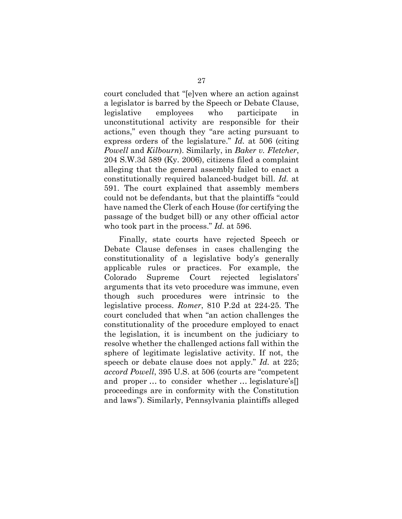court concluded that "[e]ven where an action against a legislator is barred by the Speech or Debate Clause, legislative employees who participate in unconstitutional activity are responsible for their actions," even though they "are acting pursuant to express orders of the legislature." *Id.* at 506 (citing *Powell* and *Kilbourn*). Similarly, in *Baker v. Fletcher*, 204 S.W.3d 589 (Ky. 2006), citizens filed a complaint alleging that the general assembly failed to enact a constitutionally required balanced-budget bill. *Id.* at 591. The court explained that assembly members could not be defendants, but that the plaintiffs "could have named the Clerk of each House (for certifying the passage of the budget bill) or any other official actor who took part in the process." *Id.* at 596.

Finally, state courts have rejected Speech or Debate Clause defenses in cases challenging the constitutionality of a legislative body's generally applicable rules or practices. For example, the Colorado Supreme Court rejected legislators' arguments that its veto procedure was immune, even though such procedures were intrinsic to the legislative process. *Romer*, 810 P.2d at 224-25. The court concluded that when "an action challenges the constitutionality of the procedure employed to enact the legislation, it is incumbent on the judiciary to resolve whether the challenged actions fall within the sphere of legitimate legislative activity. If not, the speech or debate clause does not apply." *Id.* at 225; *accord Powell*, 395 U.S. at 506 (courts are "competent and proper … to consider whether … legislature's[] proceedings are in conformity with the Constitution and laws"). Similarly, Pennsylvania plaintiffs alleged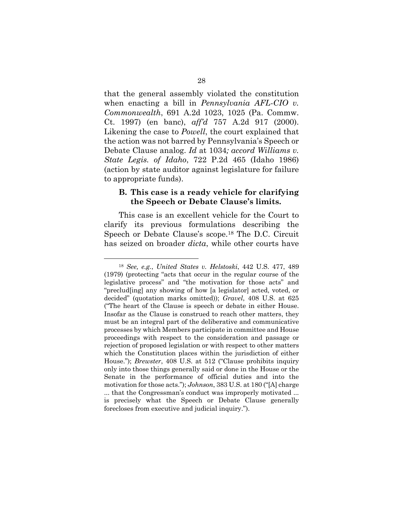that the general assembly violated the constitution when enacting a bill in *Pennsylvania AFL-CIO v. Commonwealth*, 691 A.2d 1023, 1025 (Pa. Commw. Ct. 1997) (en banc), *aff'd* 757 A.2d 917 (2000). Likening the case to *Powell*, the court explained that the action was not barred by Pennsylvania's Speech or Debate Clause analog. *Id* at 1034*; accord Williams v. State Legis. of Idaho*, 722 P.2d 465 (Idaho 1986) (action by state auditor against legislature for failure to appropriate funds).

## **B. This case is a ready vehicle for clarifying the Speech or Debate Clause's limits.**

This case is an excellent vehicle for the Court to clarify its previous formulations describing the Speech or Debate Clause's scope.18 The D.C. Circuit has seized on broader *dicta*, while other courts have

<sup>18</sup> *See, e.g.*, *United States v. Helstoski*, 442 U.S. 477, 489 (1979) (protecting "acts that occur in the regular course of the legislative process" and "the motivation for those acts" and "preclud[ing] any showing of how [a legislator] acted, voted, or decided" (quotation marks omitted)); *Gravel*, 408 U.S. at 625 ("The heart of the Clause is speech or debate in either House. Insofar as the Clause is construed to reach other matters, they must be an integral part of the deliberative and communicative processes by which Members participate in committee and House proceedings with respect to the consideration and passage or rejection of proposed legislation or with respect to other matters which the Constitution places within the jurisdiction of either House."); *Brewster*, 408 U.S. at 512 ("Clause prohibits inquiry only into those things generally said or done in the House or the Senate in the performance of official duties and into the motivation for those acts."); *Johnson*, 383 U.S. at 180 ("[A] charge ... that the Congressman's conduct was improperly motivated ... is precisely what the Speech or Debate Clause generally forecloses from executive and judicial inquiry.").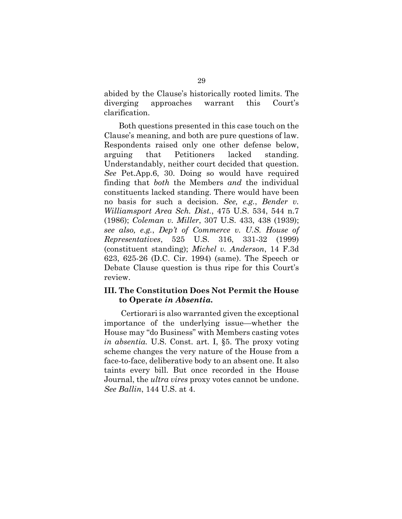abided by the Clause's historically rooted limits. The diverging approaches warrant this Court's clarification.

Both questions presented in this case touch on the Clause's meaning, and both are pure questions of law. Respondents raised only one other defense below, arguing that Petitioners lacked standing. Understandably, neither court decided that question. *See* Pet.App.6, 30. Doing so would have required finding that *both* the Members *and* the individual constituents lacked standing. There would have been no basis for such a decision. *See, e.g.*, *Bender v. Williamsport Area Sch. Dist.*, 475 U.S. 534, 544 n.7 (1986); *Coleman v. Miller*, 307 U.S. 433, 438 (1939); *see also, e.g.*, *Dep't of Commerce v. U.S. House of Representatives*, 525 U.S. 316, 331-32 (1999) (constituent standing); *Michel v. Anderson*, 14 F.3d 623, 625-26 (D.C. Cir. 1994) (same). The Speech or Debate Clause question is thus ripe for this Court's review.

## **III. The Constitution Does Not Permit the House to Operate** *in Absentia.*

 Certiorari is also warranted given the exceptional importance of the underlying issue—whether the House may "do Business" with Members casting votes *in absentia.* U.S. Const. art. I, §5. The proxy voting scheme changes the very nature of the House from a face-to-face, deliberative body to an absent one. It also taints every bill. But once recorded in the House Journal, the *ultra vires* proxy votes cannot be undone. *See Ballin*, 144 U.S. at 4.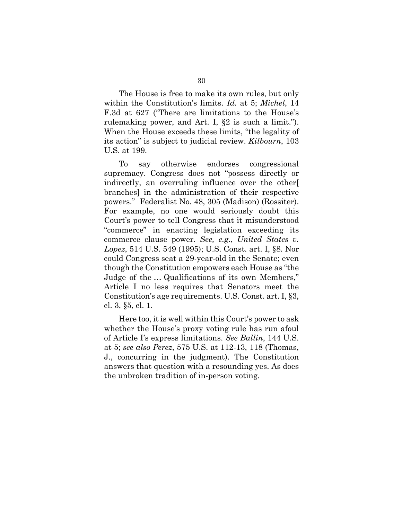The House is free to make its own rules, but only within the Constitution's limits. *Id.* at 5; *Michel*, 14 F.3d at 627 ("There are limitations to the House's rulemaking power, and Art. I, §2 is such a limit."). When the House exceeds these limits, "the legality of its action" is subject to judicial review. *Kilbourn*, 103 U.S. at 199.

To say otherwise endorses congressional supremacy. Congress does not "possess directly or indirectly, an overruling influence over the other[ branches] in the administration of their respective powers." Federalist No. 48, 305 (Madison) (Rossiter). For example, no one would seriously doubt this Court's power to tell Congress that it misunderstood "commerce" in enacting legislation exceeding its commerce clause power. *See, e.g.*, *United States v. Lopez*, 514 U.S. 549 (1995); U.S. Const. art. I, §8. Nor could Congress seat a 29-year-old in the Senate; even though the Constitution empowers each House as "the Judge of the … Qualifications of its own Members," Article I no less requires that Senators meet the Constitution's age requirements. U.S. Const. art. I, §3, cl. 3, §5, cl. 1.

Here too, it is well within this Court's power to ask whether the House's proxy voting rule has run afoul of Article I's express limitations. *See Ballin*, 144 U.S. at 5; *see also Perez*, 575 U.S. at 112-13, 118 (Thomas, J., concurring in the judgment). The Constitution answers that question with a resounding yes. As does the unbroken tradition of in-person voting.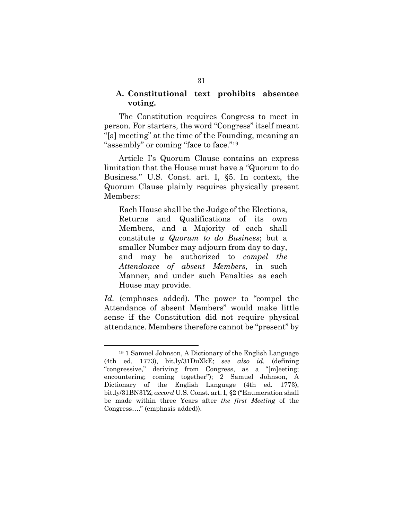### **A. Constitutional text prohibits absentee voting.**

The Constitution requires Congress to meet in person. For starters, the word "Congress" itself meant "[a] meeting" at the time of the Founding, meaning an "assembly" or coming "face to face."<sup>19</sup>

Article I's Quorum Clause contains an express limitation that the House must have a "Quorum to do Business." U.S. Const. art. I, §5. In context, the Quorum Clause plainly requires physically present Members:

Each House shall be the Judge of the Elections, Returns and Qualifications of its own Members, and a Majority of each shall constitute *a Quorum to do Business*; but a smaller Number may adjourn from day to day, and may be authorized to *compel the Attendance of absent Members*, in such Manner, and under such Penalties as each House may provide.

Id. (emphases added). The power to "compel the Attendance of absent Members" would make little sense if the Constitution did not require physical attendance. Members therefore cannot be "present" by

<sup>19</sup> 1 Samuel Johnson, A Dictionary of the English Language (4th ed. 1773), bit.ly/31DuXkE; *see also id.* (defining "congressive," deriving from Congress, as a "[m]eeting; encountering; coming together"); 2 Samuel Johnson, A Dictionary of the English Language (4th ed. 1773), bit.ly/31BN3TZ; *accord* U.S. Const. art. I, §2 ("Enumeration shall be made within three Years after *the first Meeting* of the Congress…." (emphasis added)).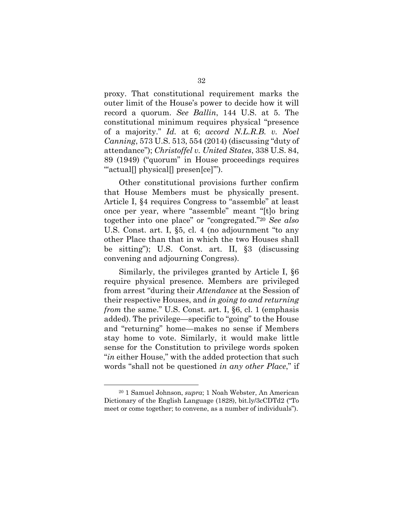proxy. That constitutional requirement marks the outer limit of the House's power to decide how it will record a quorum. *See Ballin*, 144 U.S. at 5. The constitutional minimum requires physical "presence of a majority." *Id.* at 6; *accord N.L.R.B. v. Noel Canning*, 573 U.S. 513, 554 (2014) (discussing "duty of attendance"); *Christoffel v. United States*, 338 U.S. 84, 89 (1949) ("quorum" in House proceedings requires "actual[] physical[] presen[ce]").

Other constitutional provisions further confirm that House Members must be physically present. Article I, §4 requires Congress to "assemble" at least once per year, where "assemble" meant "[t]o bring together into one place" or "congregated."<sup>20</sup> *See also*  U.S. Const. art. I, §5, cl. 4 (no adjournment "to any other Place than that in which the two Houses shall be sitting"); U.S. Const. art. II, §3 (discussing convening and adjourning Congress).

Similarly, the privileges granted by Article I, §6 require physical presence. Members are privileged from arrest "during their *Attendance* at the Session of their respective Houses, and *in going to and returning from the same.*" U.S. Const. art. I, §6, cl. 1 (emphasis added). The privilege—specific to "going" to the House and "returning" home—makes no sense if Members stay home to vote. Similarly, it would make little sense for the Constitution to privilege words spoken "*in* either House," with the added protection that such words "shall not be questioned *in any other Place*," if

<sup>20</sup> 1 Samuel Johnson, *supra*; 1 Noah Webster, An American Dictionary of the English Language (1828), bit.ly/3cCDTd2 ("To meet or come together; to convene, as a number of individuals").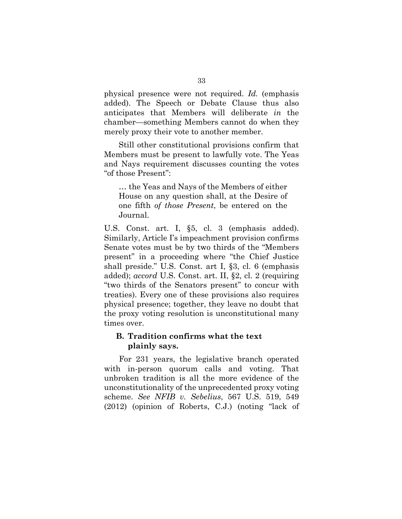physical presence were not required. *Id.* (emphasis added). The Speech or Debate Clause thus also anticipates that Members will deliberate *in* the chamber—something Members cannot do when they merely proxy their vote to another member.

Still other constitutional provisions confirm that Members must be present to lawfully vote. The Yeas and Nays requirement discusses counting the votes "of those Present":

… the Yeas and Nays of the Members of either House on any question shall, at the Desire of one fifth *of those Present*, be entered on the Journal.

U.S. Const. art. I, §5, cl. 3 (emphasis added). Similarly, Article I's impeachment provision confirms Senate votes must be by two thirds of the "Members present" in a proceeding where "the Chief Justice shall preside." U.S. Const. art I, §3, cl. 6 (emphasis added); *accord* U.S. Const. art. II, §2, cl. 2 (requiring "two thirds of the Senators present" to concur with treaties). Every one of these provisions also requires physical presence; together, they leave no doubt that the proxy voting resolution is unconstitutional many times over.

## **B. Tradition confirms what the text plainly says.**

For 231 years, the legislative branch operated with in-person quorum calls and voting. That unbroken tradition is all the more evidence of the unconstitutionality of the unprecedented proxy voting scheme. *See NFIB v. Sebelius*, 567 U.S. 519, 549 (2012) (opinion of Roberts, C.J.) (noting "lack of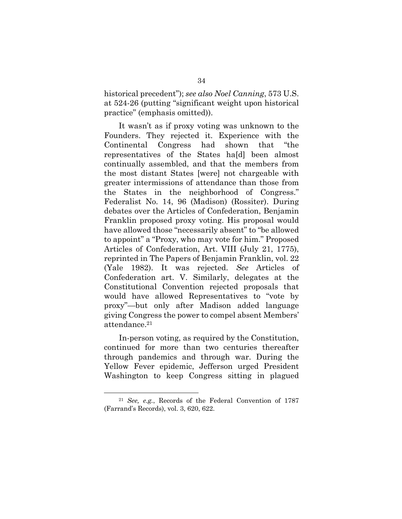historical precedent"); *see also Noel Canning*, 573 U.S. at 524-26 (putting "significant weight upon historical practice" (emphasis omitted)).

It wasn't as if proxy voting was unknown to the Founders. They rejected it. Experience with the Continental Congress had shown that "the representatives of the States ha[d] been almost continually assembled, and that the members from the most distant States [were] not chargeable with greater intermissions of attendance than those from the States in the neighborhood of Congress." Federalist No. 14, 96 (Madison) (Rossiter). During debates over the Articles of Confederation, Benjamin Franklin proposed proxy voting. His proposal would have allowed those "necessarily absent" to "be allowed to appoint" a "Proxy, who may vote for him." Proposed Articles of Confederation, Art. VIII (July 21, 1775), reprinted in The Papers of Benjamin Franklin, vol. 22 (Yale 1982). It was rejected. *See* Articles of Confederation art. V. Similarly, delegates at the Constitutional Convention rejected proposals that would have allowed Representatives to "vote by proxy"—but only after Madison added language giving Congress the power to compel absent Members' attendance.<sup>21</sup>

In-person voting, as required by the Constitution, continued for more than two centuries thereafter through pandemics and through war. During the Yellow Fever epidemic, Jefferson urged President Washington to keep Congress sitting in plagued

<sup>21</sup> *See, e.g.*, Records of the Federal Convention of 1787 (Farrand's Records), vol. 3, 620, 622.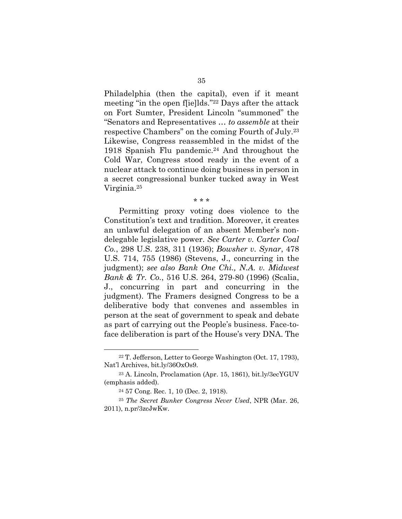Philadelphia (then the capital), even if it meant meeting "in the open f[ie]lds."22 Days after the attack on Fort Sumter, President Lincoln "summoned" the "Senators and Representatives … *to assemble* at their respective Chambers" on the coming Fourth of July.<sup>23</sup> Likewise, Congress reassembled in the midst of the 1918 Spanish Flu pandemic.24 And throughout the Cold War, Congress stood ready in the event of a nuclear attack to continue doing business in person in a secret congressional bunker tucked away in West Virginia.<sup>25</sup>

#### \* \* \*

Permitting proxy voting does violence to the Constitution's text and tradition. Moreover, it creates an unlawful delegation of an absent Member's nondelegable legislative power. *See Carter v. Carter Coal Co.*, 298 U.S. 238, 311 (1936); *Bowsher v. Synar*, 478 U.S. 714, 755 (1986) (Stevens, J., concurring in the judgment); *see also Bank One Chi., N.A. v. Midwest Bank & Tr. Co.*, 516 U.S. 264, 279-80 (1996) (Scalia, J., concurring in part and concurring in the judgment). The Framers designed Congress to be a deliberative body that convenes and assembles in person at the seat of government to speak and debate as part of carrying out the People's business. Face-toface deliberation is part of the House's very DNA. The

<sup>22</sup> T. Jefferson, Letter to George Washington (Oct. 17, 1793), Nat'l Archives, bit.ly/36OxOs9.

<sup>23</sup> A. Lincoln, Proclamation (Apr. 15, 1861), bit.ly/3ecYGUV (emphasis added).

<sup>24</sup> 57 Cong. Rec. 1, 10 (Dec. 2, 1918).

<sup>25</sup> *The Secret Bunker Congress Never Used*, NPR (Mar. 26, 2011), n.pr/3zcJwKw.